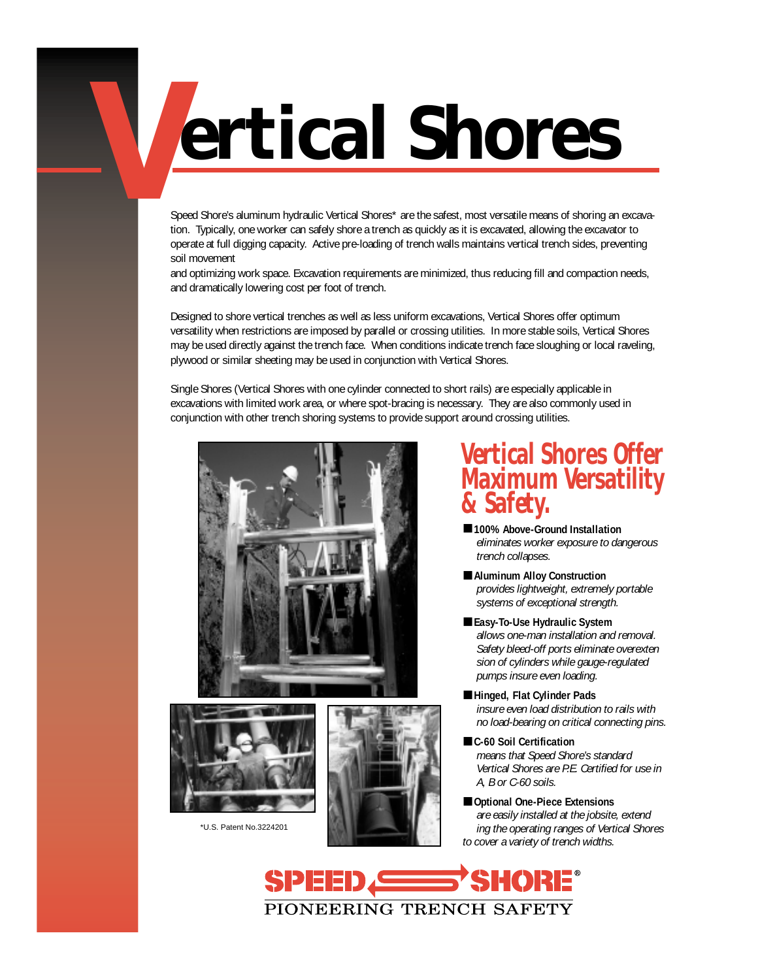# **Vertical Shores**

Speed Shore's aluminum hydraulic Vertical Shores\* are the safest, most versatile means of shoring an excavation. Typically, one worker can safely shore a trench as quickly as it is excavated, allowing the excavator to operate at full digging capacity. Active pre-loading of trench walls maintains vertical trench sides, preventing soil movement

and optimizing work space. Excavation requirements are minimized, thus reducing fill and compaction needs, and dramatically lowering cost per foot of trench.

Designed to shore vertical trenches as well as less uniform excavations, Vertical Shores offer optimum versatility when restrictions are imposed by parallel or crossing utilities. In more stable soils, Vertical Shores may be used directly against the trench face. When conditions indicate trench face sloughing or local raveling, plywood or similar sheeting may be used in conjunction with Vertical Shores.

Single Shores (Vertical Shores with one cylinder connected to short rails) are especially applicable in excavations with limited work area, or where spot-bracing is necessary. They are also commonly used in conjunction with other trench shoring systems to provide support around crossing utilities.





\*U.S. Patent No.3224201



### **Vertical Shores Offer Maximum Versatility & Safety.**

- 100% Above-Ground Installation *eliminates worker exposure to dangerous trench collapses.*
- **Aluminum Alloy Construction** *provides lightweight, extremely portable systems of exceptional strength.*
- **Easy-To-Use Hydraulic System** *allows one-man installation and removal. Safety bleed-off ports eliminate overexten sion of cylinders while gauge-regulated pumps insure even loading.*
- **Hinged, Flat Cylinder Pads** *insure even load distribution to rails with no load-bearing on critical connecting pins.*
- **C-60 Soil Certification** *means that Speed Shore's standard Vertical Shores are P.E. Certified for use in A, B or C-60 soils.*
- **Optional One-Piece Extensions** *are easily installed at the jobsite, extend ing the operating ranges of Vertical Shores to cover a variety of trench widths.*

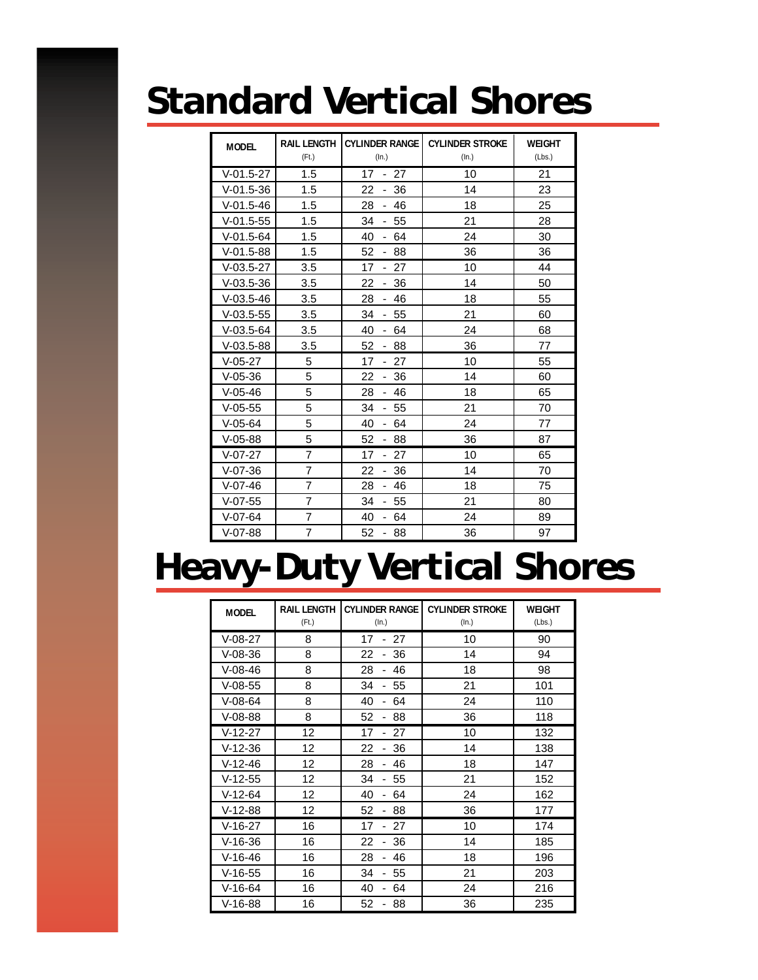### **Standard Vertical Shores**

| <b>MODEL</b> | <b>RAIL LENGTH</b><br>(Ft.) | <b>CYLINDER RANGE</b><br>(ln.)          | <b>CYLINDER STROKE</b><br>(In.) | <b>WEIGHT</b><br>(Lbs.) |
|--------------|-----------------------------|-----------------------------------------|---------------------------------|-------------------------|
| $V-01.5-27$  | 1.5                         | 17<br>27<br>$\sim$                      | 10                              | 21                      |
| $V-01.5-36$  | 1.5                         | 36<br>22<br>$\overline{\phantom{0}}$    | 14                              | 23                      |
| $V-01.5-46$  | 1.5                         | 28<br>46<br>÷.                          | 18                              | 25                      |
| $V-01.5-55$  | 1.5                         | 34<br>55<br>$\mathcal{L}_{\mathcal{A}}$ | 21                              | 28                      |
| $V-01.5-64$  | 1.5                         | 40<br>64<br>$\blacksquare$              | 24                              | 30                      |
| $V-01.5-88$  | 1.5                         | 52<br>88<br>$\sim$                      | 36                              | 36                      |
| $V-03.5-27$  | 3.5                         | 17<br>$-27$                             | 10                              | 44                      |
| $V-03.5-36$  | 3.5                         | 36<br>22<br>$\sim$                      | 14                              | 50                      |
| $V-03.5-46$  | 3.5                         | 28<br>46<br>$\sim$                      | 18                              | 55                      |
| $V-03.5-55$  | 3.5                         | 34<br>$-55$                             | 21                              | 60                      |
| $V-03.5-64$  | 3.5                         | 40<br>$-64$                             | 24                              | 68                      |
| $V-03.5-88$  | 3.5                         | 52<br>$-88$                             | 36                              | 77                      |
| $V-05-27$    | 5                           | $-27$<br>17                             | 10                              | 55                      |
| $V-05-36$    | 5                           | 22<br>36<br>$\blacksquare$              | 14                              | 60                      |
| $V-05-46$    | 5                           | 28<br>- 46                              | 18                              | 65                      |
| $V-05-55$    | 5                           | 34<br>55<br>÷.                          | 21                              | 70                      |
| $V-05-64$    | 5                           | 40<br>64<br>$\blacksquare$              | 24                              | 77                      |
| $V-05-88$    | 5                           | 52<br>88<br>$\blacksquare$              | 36                              | 87                      |
| $V-07-27$    | $\overline{7}$              | 17<br>27<br>$\overline{\phantom{0}}$    | 10                              | 65                      |
| $V-07-36$    | 7                           | 22<br>36<br>$\blacksquare$              | 14                              | 70                      |
| $V-07-46$    | $\overline{7}$              | 28<br>46<br>$\sim$                      | 18                              | 75                      |
| $V-07-55$    | $\overline{7}$              | 34<br>55<br>ä,                          | 21                              | 80                      |
| $V-07-64$    | $\overline{7}$              | 40<br>64<br>$\blacksquare$              | 24                              | 89                      |
| $V-07-88$    | $\overline{7}$              | 52<br>88<br>$\overline{\phantom{0}}$    | 36                              | 97                      |

### **Heavy-Duty Vertical Shores**

| <b>MODEL</b> | <b>RAIL LENGTH</b><br>(Ft.) | <b>CYLINDER RANGE</b><br>(ln.)       | <b>CYLINDER STROKE</b><br>(ln.) | <b>WEIGHT</b><br>(Lbs.) |
|--------------|-----------------------------|--------------------------------------|---------------------------------|-------------------------|
| $V-08-27$    | 8                           | 17<br>27                             | 10                              | 90                      |
| $V-08-36$    | 8                           | 22<br>36                             | 14                              | 94                      |
| $V-08-46$    | 8                           | 28<br>46                             | 18                              | 98                      |
| $V-08-55$    | 8                           | 34<br>55                             | 21                              | 101                     |
| $V-08-64$    | 8                           | 40<br>64<br>$\overline{\phantom{0}}$ | 24                              | 110                     |
| $V-08-88$    | 8                           | 52<br>88                             | 36                              | 118                     |
| $V-12-27$    | 12                          | 17<br>27                             | 10                              | 132                     |
| $V-12-36$    | 12                          | 22<br>36                             | 14                              | 138                     |
| $V-12-46$    | 12                          | 28<br>46                             | 18                              | 147                     |
| $V-12-55$    | 12                          | 34<br>55                             | 21                              | 152                     |
| $V-12-64$    | 12                          | 40<br>64                             | 24                              | 162                     |
| $V-12-88$    | 12                          | 52<br>88<br>-                        | 36                              | 177                     |
| $V-16-27$    | 16                          | 17<br>27                             | 10                              | 174                     |
| $V-16-36$    | 16                          | 22<br>36                             | 14                              | 185                     |
| $V-16-46$    | 16                          | 28<br>46                             | 18                              | 196                     |
| $V-16-55$    | 16                          | 34<br>55                             | 21                              | 203                     |
| $V-16-64$    | 16                          | 40<br>64                             | 24                              | 216                     |
| $V-16-88$    | 16                          | 52<br>88                             | 36                              | 235                     |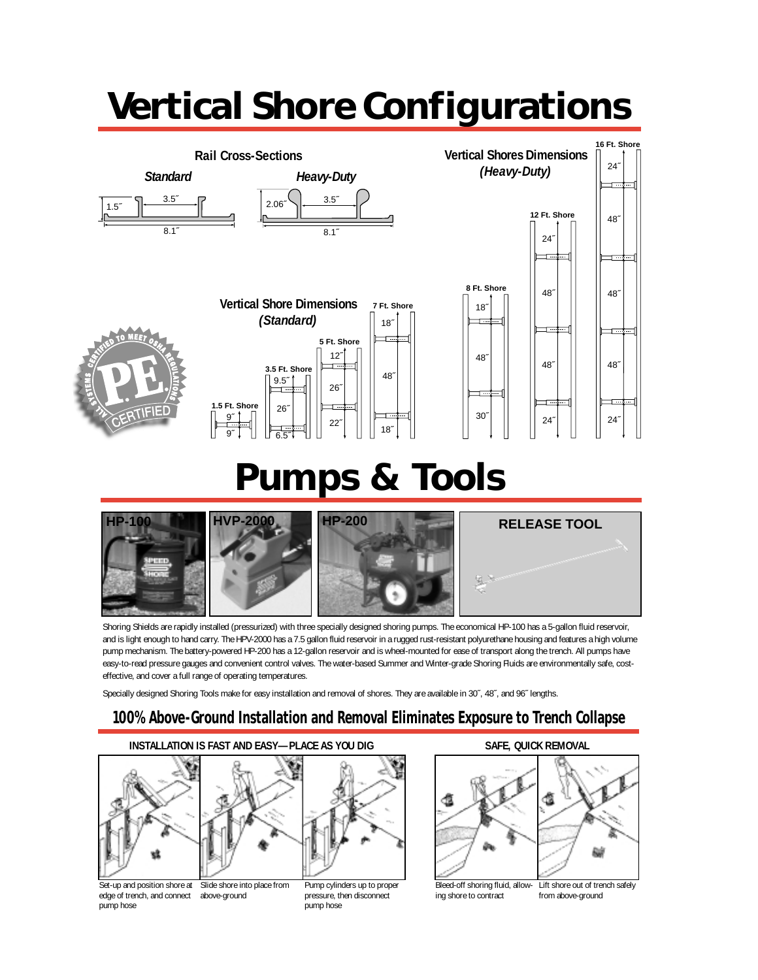## **Vertical Shore Configurations**



### **Pumps & Tools**



Shoring Shields are rapidly installed (pressurized) with three specially designed shoring pumps. The economical HP-100 has a 5-gallon fluid reservoir, and is light enough to hand carry. The HPV-2000 has a 7.5 gallon fluid reservoir in a rugged rust-resistant polyurethane housing and features a high volume pump mechanism. The battery-powered HP-200 has a 12-gallon reservoir and is wheel-mounted for ease of transport along the trench. All pumps have easy-to-read pressure gauges and convenient control valves. The water-based Summer and Winter-grade Shoring Fluids are environmentally safe, costeffective, and cover a full range of operating temperatures.

Specially designed Shoring Tools make for easy installation and removal of shores. They are available in 30˝, 48˝, and 96˝ lengths.

#### **100% Above-Ground Installation and Removal Eliminates Exposure to Trench Collapse**

#### **INSTALLATION IS FAST AND EASY—PLACE AS YOU DIG** SAFE, QUICK REMOVAL





Set-up and position shore at edge of trench, and connect above-ground pump hose Slide shore into place from

Pump cylinders up to proper pressure, then disconnect pump hose



ing shore to contract from above-ground